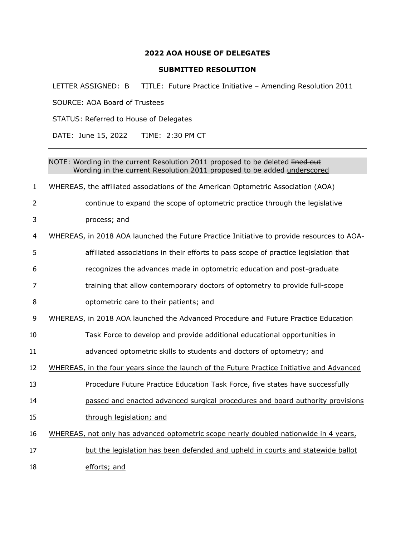## **AOA HOUSE OF DELEGATES**

## **SUBMITTED RESOLUTION**

LETTER ASSIGNED: B TITLE: Future Practice Initiative – Amending Resolution 2011

SOURCE: AOA Board of Trustees STATUS: Referred to House of Delegates DATE: June 15, 2022 TIME: 2:30 PM CT NOTE: Wording in the current Resolution 2011 proposed to be deleted lined out Wording in the current Resolution 2011 proposed to be added underscored WHEREAS, the affiliated associations of the American Optometric Association (AOA) continue to expand the scope of optometric practice through the legislative process; and WHEREAS, in 2018 AOA launched the Future Practice Initiative to provide resources to AOA- affiliated associations in their efforts to pass scope of practice legislation that recognizes the advances made in optometric education and post-graduate training that allow contemporary doctors of optometry to provide full-scope optometric care to their patients; and WHEREAS, in 2018 AOA launched the Advanced Procedure and Future Practice Education Task Force to develop and provide additional educational opportunities in advanced optometric skills to students and doctors of optometry; and 12 WHEREAS, in the four years since the launch of the Future Practice Initiative and Advanced Procedure Future Practice Education Task Force, five states have successfully passed and enacted advanced surgical procedures and board authority provisions 15 through legislation; and WHEREAS, not only has advanced optometric scope nearly doubled nationwide in 4 years, 17 but the legislation has been defended and upheld in courts and statewide ballot efforts; and